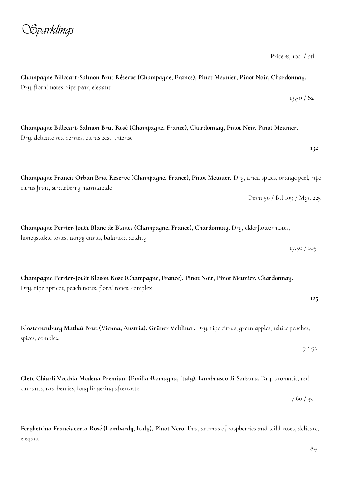Price  $\epsilon$ , 10cl / btl

**Champagne Billecart-Salmon Brut Réserve (Champagne, France), Pinot Meunier, Pinot Noir, Chardonnay.**  Dry, floral notes, ripe pear, elegant 13,50 / 82

**Champagne Billecart-Salmon Brut Rosé (Champagne, France), Chardonnay, Pinot Noir, Pinot Meunier.**  Dry, delicate red berries, citrus zest, intense

**Champagne Francis Orban Brut Reserve (Champagne, France), Pinot Meunier.** Dry, dried spices, orange peel, ripe citrus fruit, strawberry marmalade Demi 56 / Btl 109 / Mgn 225

**Champagne Perrier-Jouët Blanc de Blancs (Champagne, France), Chardonnay.** Dry, elderflower notes, honeysuckle tones, tangy citrus, balanced acidity

**Champagne Perrier-Jouët Blason Rosé (Champagne, France), Pinot Noir, Pinot Meunier, Chardonnay.**  Dry, ripe apricot, peach notes, floral tones, complex

**Klosterneuburg Mathaï Brut (Vienna, Austria), Grüner Veltliner.** Dry, ripe citrus, green apples, white peaches, spices, complex

**Cleto Chiarli Vecchia Modena Premium (Emilia-Romagna, Italy), Lambrusco di Sorbara.** Dry, aromatic, red currants, raspberries, long lingering aftertaste

**Ferghettina Franciacorta Rosé (Lombardy, Italy), Pinot Nero.** Dry, aromas of raspberries and wild roses, delicate, elegant

## *Sparklings*

132

17,50 / 105

125

 $9/52$ 

7,80 / 39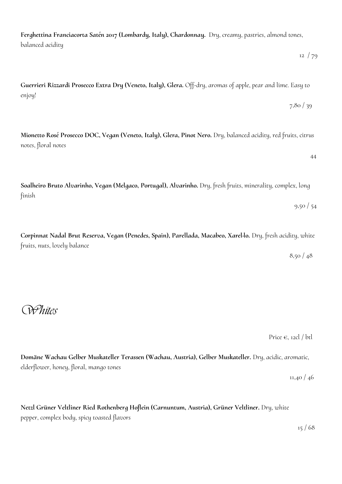**Ferghettina Franciacorta Satén 2017 (Lombardy, Italy), Chardonnay.** Dry, creamy, pastries, almond tones, balanced acidity

 $12 \frac{1}{29}$ 

7,80 / 39

**Guerrieri Rizzardi Prosecco Extra Dry (Veneto, Italy), Glera.** Off-dry, aromas of apple, pear and lime. Easy to enjoy!

**Mionetto Rosé Prosecco DOC, Vegan (Veneto, Italy), Glera, Pinot Nero.** Dry, balanced acidity, red fruits, citrus notes, floral notes

44

**Soalheiro Bruto Alvarinho, Vegan (Melgaco, Portugal), Alvarinho.** Dry, fresh fruits, minerality, complex, long finish 9,50 / 54

**Corpinnat Nadal Brut Reserva, Vegan (Penedes, Spain), Parellada, Macabeo, Xarel·lo.** Dry, fresh acidity, white fruits, nuts, lovely balance

8,50 / 48

*Whites*

Price  $\epsilon$ , 12cl / btl

**Domäne Wachau Gelber Muskateller Terassen (Wachau, Austria), Gelber Muskateller.** Dry, acidic, aromatic, elderflower, honey, floral, mango tones

11,40 / 46

**Netzl Grüner Veltliner Ried Rothenberg Hoflein (Carnuntum, Austria), Grüner Veltliner.** Dry, white pepper, complex body, spicy toasted flavors

 $15 / 68$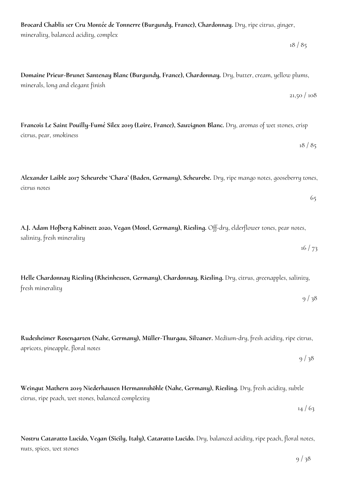**Nostru Cataratto Lucido, Vegan (Sicily, Italy), Cataratto Lucido.** Dry, balanced acidity, ripe peach, floral notes,

apricots, pineapple, floral notes  $9/38$ 

salinity, fresh minerality  $16/73$ 

**Alexander Laible 2017 Scheurebe 'Chara' (Baden, Germany), Scheurebe.** Dry, ripe mango notes, gooseberry tones, citrus notes

**Francois Le Saint Pouilly-Fumé Silex 2019 (Loire, France), Sauvignon Blanc.** Dry, aromas of wet stones, crisp citrus, pear, smokiness

 $18 / 85$ 

 $9/38$ 

**Domaine Prieur-Brunet Santenay Blanc (Burgundy, France), Chardonnay.** Dry, butter, cream, yellow plums, minerals, long and elegant finish

**Brocard Chablis 1er Cru Montée de Tonnerre (Burgundy, France), Chardonnay.** Dry, ripe citrus, ginger,

minerality, balanced acidity, complex

nuts, spices, wet stones

**A.J. Adam Hofberg Kabinett 2020, Vegan (Mosel, Germany), Riesling.** Off-dry, elderflower tones, pear notes,

**Helle Chardonnay Riesling (Rheinhessen, Germany), Chardonnay, Riesling.** Dry, citrus, greenapples, salinity, fresh minerality

**Rudesheimer Rosengarten (Nahe, Germany), Müller-Thurgau, Silvaner.** Medium-dry, fresh acidity, ripe citrus,

**Weingut Mathern 2019 Niederhausen Hermannshöhle (Nahe, Germany), Riesling.** Dry, fresh acidity, subtle citrus, ripe peach, wet stones, balanced complexity

 $14/63$ 

## $18 / 85$

 $21,50/108$ 

65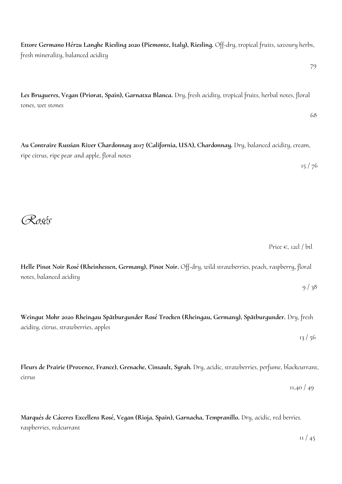**Ettore Germano Hérzu Langhe Riesling 2020 (Piemonte, Italy), Riesling.** Off-dry, tropical fruits, savoury herbs, fresh minerality, balanced acidity

79

**Les Brugueres, Vegan (Priorat, Spain), Garnatxa Blanca.** Dry, fresh acidity, tropical fruits, herbal notes, floral tones, wet stones

68

 $13/56$ 

**Au Contraire Russian River Chardonnay 2017 (California, USA), Chardonnay.** Dry, balanced acidity, cream, ripe citrus, ripe pear and apple, floral notes

 $15/76$ 

*Rosés*

Price  $\epsilon$ , 12cl / btl

**Helle Pinot Noir Rosé (Rheinhessen, Germany), Pinot Noir.** Off-dry, wild strawberries, peach, raspberry, floral notes, balanced acidity

 $9/38$ 

**Weingut Mohr 2020 Rheingau Spätburgunder Rosé Trocken (Rheingau, Germany), Spätburgunder.** Dry, fresh acidity, citrus, strawberries, apples

**Fleurs de Prairie (Provence, France), Grenache, Cinsault, Syrah.** Dry, acidic, strawberries, perfume, blackcurrant, citrus

 $11,40/49$ 

**Marqués de Cáceres Excellens Rosé, Vegan (Rioja, Spain), Garnacha, Tempranillo.** Dry, acidic, red berries. raspberries, redcurrant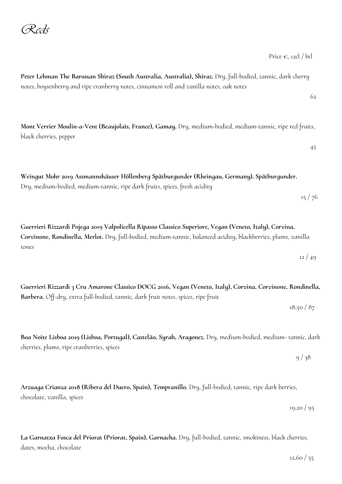|                                                                                                                                                                                                                                    | 62       |
|------------------------------------------------------------------------------------------------------------------------------------------------------------------------------------------------------------------------------------|----------|
| Mont Verrier Moulin-a-Vent (Beaujolais, France), Gamay. Dry, medium-bodied, medium-tannic, ripe red fruits,<br>black cherries, pepper                                                                                              | 45       |
| Weingut Mohr 2019 Assmannshäuser Höllenberg Spätburgunder (Rheingau, Germany), Spätburgunder.<br>Dry, medium-bodied, medium-tannic, ripe dark fruits, spices, fresh acidity                                                        | 15/76    |
| Guerrieri Rizzardi Pojega 2019 Valpolicella Ripasso Classico Superiore, Vegan (Veneto, Italy), Corvina,<br>Corvinone, Rondinella, Merlot. Dry, full-bodied, medium-tannic, balanced acidity, blackberries, plums, vanilla<br>tones | 12/49    |
| Guerrieri Rizzardi 3 Cru Amarone Classico DOCG 2016, Vegan (Veneto, Italy), Corvina, Corvinone, Rondinella,<br>Barbera. Off-dry, extra full-bodied, tannic, dark fruit notes, spices, ripe fruit                                   | 18,50/87 |

 $9/38$ 

**Boa Noite Lisboa 2019 (Lisboa, Portugal), Castelão, Syrah, Aragonez.** Dry, medium-bodied, medium- tannic, dark cherries, plums, ripe cranberries, spices

**Peter Lehman The Barossan Shiraz (South Australia, Australia), Shiraz.** Dry, full-bodied, tannic, dark cherry

notes, boysenberry and ripe cranberry notes, cinnamon roll and vanilla notes, oak notes

**Arzuaga Crianza 2018 (Ribera del Duero, Spain), Tempranillo.** Dry, full-bodied, tannic, ripe dark berries, chocolate, vanilla, spices

**La Garnatxa Fosca del Priorat (Priorat, Spain), Garnacha.** Dry, full-bodied, tannic, smokiness, black cherries, dates, mocha, chocolate

12,60 / 55

19,20 / 95